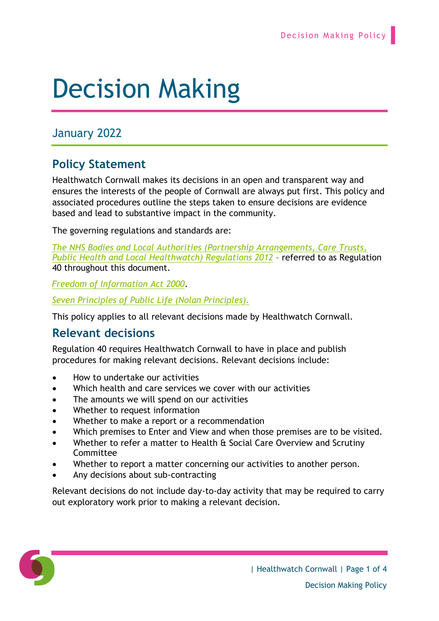# Decision Making

# January 2022

## **Policy Statement**

Healthwatch Cornwall makes its decisions in an open and transparent way and ensures the interests of the people of Cornwall are always put first. This policy and associated procedures outline the steps taken to ensure decisions are evidence based and lead to substantive impact in the community.

The governing regulations and standards are:

*[The NHS Bodies and Local Authorities \(Partnership Arrangements, Care Trusts,](https://www.local.gov.uk/sites/default/files/documents/local-healthwatch-regulat-1b7.pdf)  [Public Health and Local Healthwatch\) Regulations 2012](https://www.local.gov.uk/sites/default/files/documents/local-healthwatch-regulat-1b7.pdf)* – referred to as Regulation 40 throughout this document.

*[Freedom of Information Act 2000](https://ico.org.uk/for-organisations/guide-to-freedom-of-information/what-is-the-foi-act/)*.

*[Seven Principles of Public Life \(Nolan Principles\)](https://www.gov.uk/government/publications/the-7-principles-of-public-life/the-7-principles-of-public-life--2)*.

This policy applies to all relevant decisions made by Healthwatch Cornwall.

### **Relevant decisions**

Regulation 40 requires Healthwatch Cornwall to have in place and publish procedures for making relevant decisions. Relevant decisions include:

- How to undertake our activities
- Which health and care services we cover with our activities
- The amounts we will spend on our activities
- Whether to request information
- Whether to make a report or a recommendation
- Which premises to Enter and View and when those premises are to be visited.
- Whether to refer a matter to Health & Social Care Overview and Scrutiny Committee
- Whether to report a matter concerning our activities to another person.
- Any decisions about sub-contracting

Relevant decisions do not include day-to-day activity that may be required to carry out exploratory work prior to making a relevant decision.

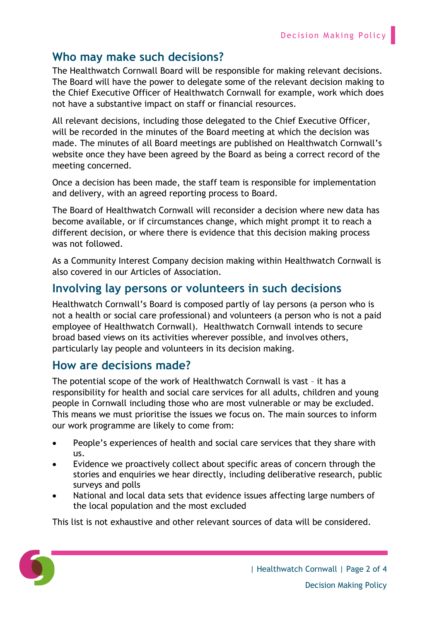## **Who may make such decisions?**

The Healthwatch Cornwall Board will be responsible for making relevant decisions. The Board will have the power to delegate some of the relevant decision making to the Chief Executive Officer of Healthwatch Cornwall for example, work which does not have a substantive impact on staff or financial resources.

All relevant decisions, including those delegated to the Chief Executive Officer, will be recorded in the minutes of the Board meeting at which the decision was made. The minutes of all Board meetings are published on Healthwatch Cornwall's website once they have been agreed by the Board as being a correct record of the meeting concerned.

Once a decision has been made, the staff team is responsible for implementation and delivery, with an agreed reporting process to Board.

The Board of Healthwatch Cornwall will reconsider a decision where new data has become available, or if circumstances change, which might prompt it to reach a different decision, or where there is evidence that this decision making process was not followed.

As a Community Interest Company decision making within Healthwatch Cornwall is also covered in our Articles of Association.

## **Involving lay persons or volunteers in such decisions**

Healthwatch Cornwall's Board is composed partly of lay persons (a person who is not a health or social care professional) and volunteers (a person who is not a paid employee of Healthwatch Cornwall). Healthwatch Cornwall intends to secure broad based views on its activities wherever possible, and involves others, particularly lay people and volunteers in its decision making.

#### **How are decisions made?**

The potential scope of the work of Healthwatch Cornwall is vast – it has a responsibility for health and social care services for all adults, children and young people in Cornwall including those who are most vulnerable or may be excluded. This means we must prioritise the issues we focus on. The main sources to inform our work programme are likely to come from:

- People's experiences of health and social care services that they share with us.
- Evidence we proactively collect about specific areas of concern through the stories and enquiries we hear directly, including deliberative research, public surveys and polls
- National and local data sets that evidence issues affecting large numbers of the local population and the most excluded

This list is not exhaustive and other relevant sources of data will be considered.

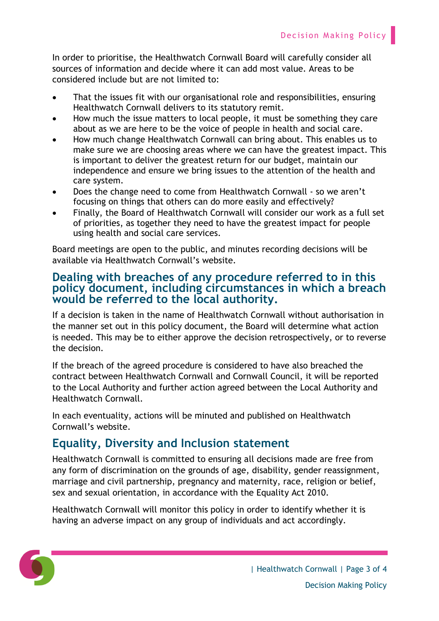In order to prioritise, the Healthwatch Cornwall Board will carefully consider all sources of information and decide where it can add most value. Areas to be considered include but are not limited to:

- That the issues fit with our organisational role and responsibilities, ensuring Healthwatch Cornwall delivers to its statutory remit.
- How much the issue matters to local people, it must be something they care about as we are here to be the voice of people in health and social care.
- How much change Healthwatch Cornwall can bring about. This enables us to make sure we are choosing areas where we can have the greatest impact. This is important to deliver the greatest return for our budget, maintain our independence and ensure we bring issues to the attention of the health and care system.
- Does the change need to come from Healthwatch Cornwall so we aren't focusing on things that others can do more easily and effectively?
- Finally, the Board of Healthwatch Cornwall will consider our work as a full set of priorities, as together they need to have the greatest impact for people using health and social care services.

Board meetings are open to the public, and minutes recording decisions will be available via Healthwatch Cornwall's website.

#### **Dealing with breaches of any procedure referred to in this policy document, including circumstances in which a breach would be referred to the local authority.**

If a decision is taken in the name of Healthwatch Cornwall without authorisation in the manner set out in this policy document, the Board will determine what action is needed. This may be to either approve the decision retrospectively, or to reverse the decision.

If the breach of the agreed procedure is considered to have also breached the contract between Healthwatch Cornwall and Cornwall Council, it will be reported to the Local Authority and further action agreed between the Local Authority and Healthwatch Cornwall.

In each eventuality, actions will be minuted and published on Healthwatch Cornwall's website.

## **Equality, Diversity and Inclusion statement**

Healthwatch Cornwall is committed to ensuring all decisions made are free from any form of discrimination on the grounds of age, disability, gender reassignment, marriage and civil partnership, pregnancy and maternity, race, religion or belief, sex and sexual orientation, in accordance with the Equality Act 2010.

Healthwatch Cornwall will monitor this policy in order to identify whether it is having an adverse impact on any group of individuals and act accordingly.